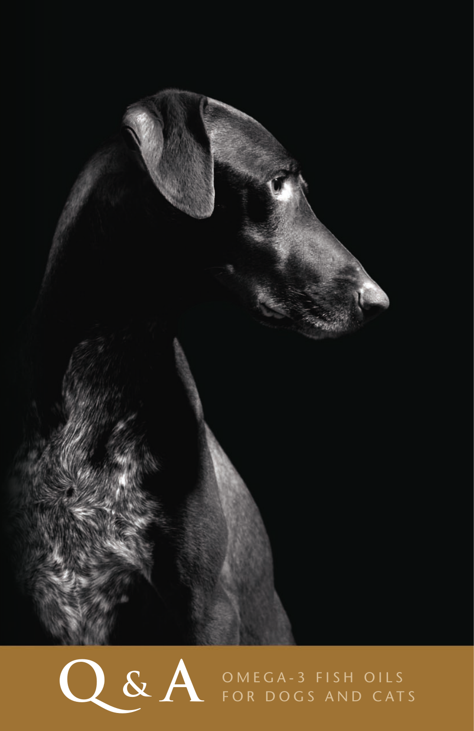

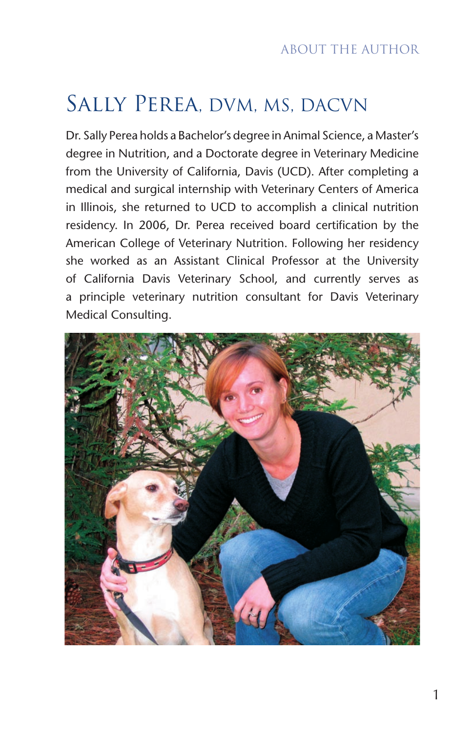# Sally Perea, DVM, MS, DACVN

Dr. Sally Perea holds a Bachelor's degree in Animal Science, a Master's degree in Nutrition, and a Doctorate degree in Veterinary Medicine from the University of California, Davis (UCD). After completing a medical and surgical internship with Veterinary Centers of America in Illinois, she returned to UCD to accomplish a clinical nutrition residency. In 2006, Dr. Perea received board certification by the American College of Veterinary Nutrition. Following her residency she worked as an Assistant Clinical Professor at the University of California Davis Veterinary School, and currently serves as a principle veterinary nutrition consultant for Davis Veterinary Medical Consulting.

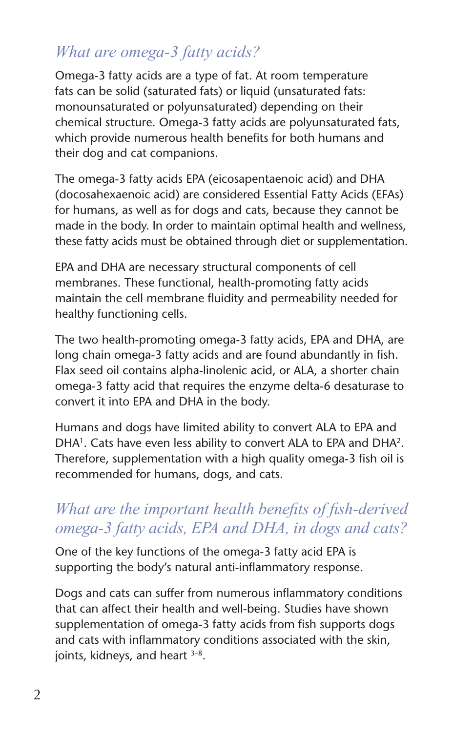# *What are omega-3 fatty acids?*

Omega-3 fatty acids are a type of fat. At room temperature fats can be solid (saturated fats) or liquid (unsaturated fats: monounsaturated or polyunsaturated) depending on their chemical structure. Omega-3 fatty acids are polyunsaturated fats, which provide numerous health benefits for both humans and their dog and cat companions.

The omega-3 fatty acids EPA (eicosapentaenoic acid) and DHA (docosahexaenoic acid) are considered Essential Fatty Acids (EFAs) for humans, as well as for dogs and cats, because they cannot be made in the body. In order to maintain optimal health and wellness, these fatty acids must be obtained through diet or supplementation.

EPA and DHA are necessary structural components of cell membranes. These functional, health-promoting fatty acids maintain the cell membrane fluidity and permeability needed for healthy functioning cells.

The two health-promoting omega-3 fatty acids, EPA and DHA, are long chain omega-3 fatty acids and are found abundantly in fish. Flax seed oil contains alpha-linolenic acid, or ALA, a shorter chain omega-3 fatty acid that requires the enzyme delta-6 desaturase to convert it into EPA and DHA in the body.

Humans and dogs have limited ability to convert ALA to EPA and DHA<sup>1</sup>. Cats have even less ability to convert ALA to EPA and DHA<sup>2</sup>. Therefore, supplementation with a high quality omega-3 fish oil is recommended for humans, dogs, and cats.

# *What are the important health benefits of fish-derived omega-3 fatty acids, EPA and DHA, in dogs and cats?*

One of the key functions of the omega-3 fatty acid EPA is supporting the body's natural anti-inflammatory response.

Dogs and cats can suffer from numerous inflammatory conditions that can affect their health and well-being. Studies have shown supplementation of omega-3 fatty acids from fish supports dogs and cats with inflammatory conditions associated with the skin, joints, kidneys, and heart  $3-8$ .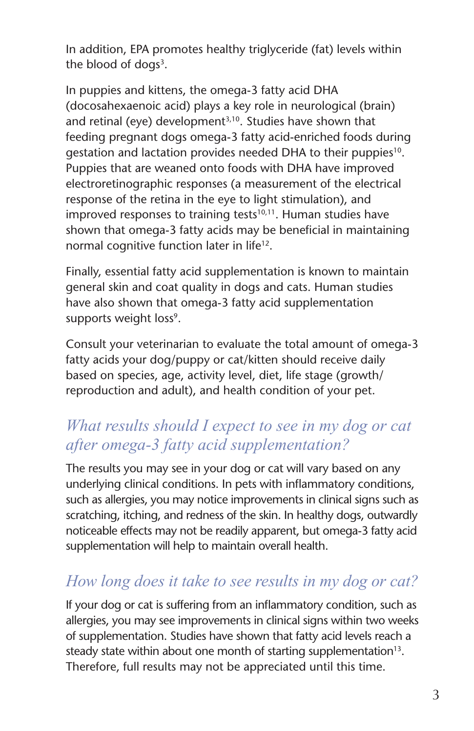In addition, EPA promotes healthy triglyceride (fat) levels within the blood of dogs $3$ .

In puppies and kittens, the omega-3 fatty acid DHA (docosahexaenoic acid) plays a key role in neurological (brain) and retinal (eye) development<sup>3,10</sup>. Studies have shown that feeding pregnant dogs omega-3 fatty acid-enriched foods during gestation and lactation provides needed DHA to their puppies<sup>10</sup>. Puppies that are weaned onto foods with DHA have improved electroretinographic responses (a measurement of the electrical response of the retina in the eye to light stimulation), and improved responses to training tests<sup>10,11</sup>. Human studies have shown that omega-3 fatty acids may be beneficial in maintaining normal cognitive function later in life<sup>12</sup>.

Finally, essential fatty acid supplementation is known to maintain general skin and coat quality in dogs and cats. Human studies have also shown that omega-3 fatty acid supplementation supports weight loss<sup>9</sup>.

Consult your veterinarian to evaluate the total amount of omega-3 fatty acids your dog/puppy or cat/kitten should receive daily based on species, age, activity level, diet, life stage (growth/ reproduction and adult), and health condition of your pet.

# *What results should I expect to see in my dog or cat after omega-3 fatty acid supplementation?*

The results you may see in your dog or cat will vary based on any underlying clinical conditions. In pets with inflammatory conditions, such as allergies, you may notice improvements in clinical signs such as scratching, itching, and redness of the skin. In healthy dogs, outwardly noticeable effects may not be readily apparent, but omega-3 fatty acid supplementation will help to maintain overall health.

# *How long does it take to see results in my dog or cat?*

If your dog or cat is suffering from an inflammatory condition, such as allergies, you may see improvements in clinical signs within two weeks of supplementation. Studies have shown that fatty acid levels reach a steady state within about one month of starting supplementation<sup>13</sup>. Therefore, full results may not be appreciated until this time.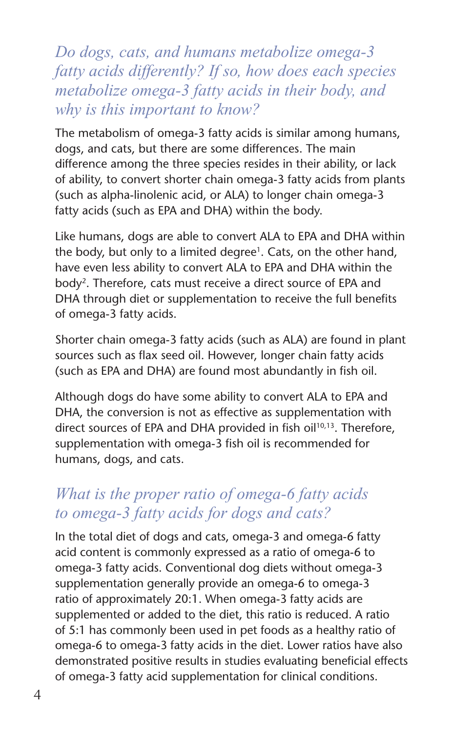*Do dogs, cats, and humans metabolize omega-3 fatty acids differently? If so, how does each species metabolize omega-3 fatty acids in their body, and why is this important to know?*

The metabolism of omega-3 fatty acids is similar among humans, dogs, and cats, but there are some differences. The main difference among the three species resides in their ability, or lack of ability, to convert shorter chain omega-3 fatty acids from plants (such as alpha-linolenic acid, or ALA) to longer chain omega-3 fatty acids (such as EPA and DHA) within the body.

Like humans, dogs are able to convert ALA to EPA and DHA within the body, but only to a limited degree<sup>1</sup>. Cats, on the other hand, have even less ability to convert ALA to EPA and DHA within the body<sup>2</sup>. Therefore, cats must receive a direct source of EPA and DHA through diet or supplementation to receive the full benefits of omega-3 fatty acids.

Shorter chain omega-3 fatty acids (such as ALA) are found in plant sources such as flax seed oil. However, longer chain fatty acids (such as EPA and DHA) are found most abundantly in fish oil.

Although dogs do have some ability to convert ALA to EPA and DHA, the conversion is not as effective as supplementation with direct sources of EPA and DHA provided in fish oil<sup>10,13</sup>. Therefore, supplementation with omega-3 fish oil is recommended for humans, dogs, and cats.

#### *What is the proper ratio of omega-6 fatty acids to omega-3 fatty acids for dogs and cats?*

In the total diet of dogs and cats, omega-3 and omega-6 fatty acid content is commonly expressed as a ratio of omega-6 to omega-3 fatty acids. Conventional dog diets without omega-3 supplementation generally provide an omega-6 to omega-3 ratio of approximately 20:1. When omega-3 fatty acids are supplemented or added to the diet, this ratio is reduced. A ratio of 5:1 has commonly been used in pet foods as a healthy ratio of omega-6 to omega-3 fatty acids in the diet. Lower ratios have also demonstrated positive results in studies evaluating beneficial effects of omega-3 fatty acid supplementation for clinical conditions.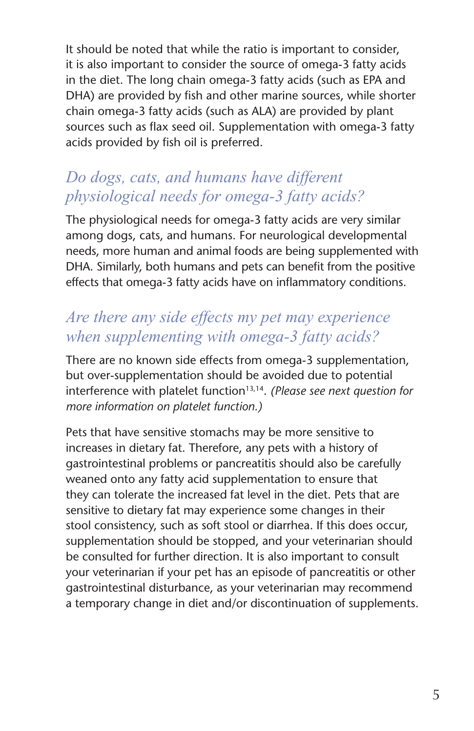It should be noted that while the ratio is important to consider, it is also important to consider the source of omega-3 fatty acids in the diet. The long chain omega-3 fatty acids (such as EPA and DHA) are provided by fish and other marine sources, while shorter chain omega-3 fatty acids (such as ALA) are provided by plant sources such as flax seed oil. Supplementation with omega-3 fatty acids provided by fish oil is preferred.

# *Do dogs, cats, and humans have different physiological needs for omega-3 fatty acids?*

The physiological needs for omega-3 fatty acids are very similar among dogs, cats, and humans. For neurological developmental needs, more human and animal foods are being supplemented with DHA. Similarly, both humans and pets can benefit from the positive effects that omega-3 fatty acids have on inflammatory conditions.

#### *Are there any side effects my pet may experience when supplementing with omega-3 fatty acids?*

There are no known side effects from omega-3 supplementation, but over-supplementation should be avoided due to potential interference with platelet function<sup>13,14</sup>. (Please see next question for *more information on platelet function.)*

Pets that have sensitive stomachs may be more sensitive to increases in dietary fat. Therefore, any pets with a history of gastrointestinal problems or pancreatitis should also be carefully weaned onto any fatty acid supplementation to ensure that they can tolerate the increased fat level in the diet. Pets that are sensitive to dietary fat may experience some changes in their stool consistency, such as soft stool or diarrhea. If this does occur, supplementation should be stopped, and your veterinarian should be consulted for further direction. It is also important to consult your veterinarian if your pet has an episode of pancreatitis or other gastrointestinal disturbance, as your veterinarian may recommend a temporary change in diet and/or discontinuation of supplements.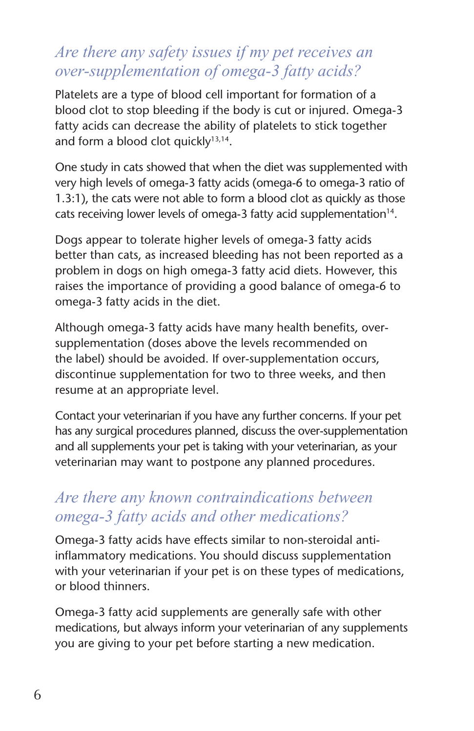#### *Are there any safety issues if my pet receives an over-supplementation of omega-3 fatty acids?*

Platelets are a type of blood cell important for formation of a blood clot to stop bleeding if the body is cut or injured. Omega-3 fatty acids can decrease the ability of platelets to stick together and form a blood clot quickly $13,14$ .

One study in cats showed that when the diet was supplemented with very high levels of omega-3 fatty acids (omega-6 to omega-3 ratio of 1.3:1), the cats were not able to form a blood clot as quickly as those cats receiving lower levels of omega-3 fatty acid supplementation $14$ .

Dogs appear to tolerate higher levels of omega-3 fatty acids better than cats, as increased bleeding has not been reported as a problem in dogs on high omega-3 fatty acid diets. However, this raises the importance of providing a good balance of omega-6 to omega-3 fatty acids in the diet.

Although omega-3 fatty acids have many health benefits, oversupplementation (doses above the levels recommended on the label) should be avoided. If over-supplementation occurs, discontinue supplementation for two to three weeks, and then resume at an appropriate level.

Contact your veterinarian if you have any further concerns. If your pet has any surgical procedures planned, discuss the over-supplementation and all supplements your pet is taking with your veterinarian, as your veterinarian may want to postpone any planned procedures.

#### *Are there any known contraindications between omega-3 fatty acids and other medications?*

Omega-3 fatty acids have effects similar to non-steroidal antiinflammatory medications. You should discuss supplementation with your veterinarian if your pet is on these types of medications, or blood thinners.

Omega-3 fatty acid supplements are generally safe with other medications, but always inform your veterinarian of any supplements you are giving to your pet before starting a new medication.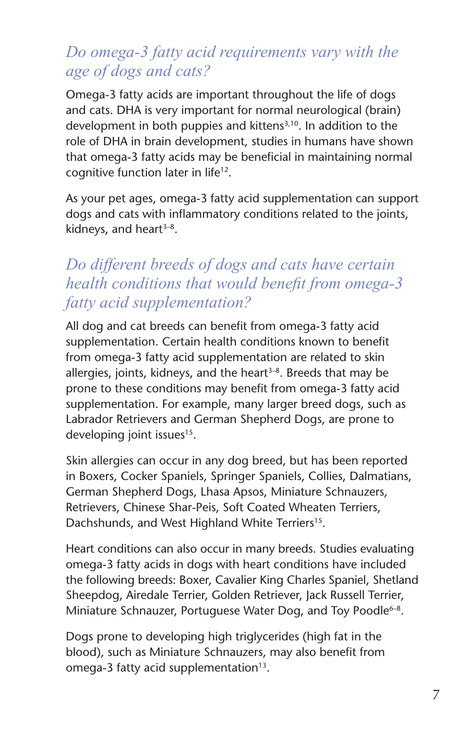#### *Do omega-3 fatty acid requirements vary with the age of dogs and cats?*

Omega-3 fatty acids are important throughout the life of dogs and cats. DHA is very important for normal neurological (brain) development in both puppies and kittens<sup>3,10</sup>. In addition to the role of DHA in brain development, studies in humans have shown that omega-3 fatty acids may be beneficial in maintaining normal cognitive function later in life<sup>12</sup>.

As your pet ages, omega-3 fatty acid supplementation can support dogs and cats with inflammatory conditions related to the joints, kidneys, and heart $3-8$ .

## *Do different breeds of dogs and cats have certain health conditions that would benefit from omega-3 fatty acid supplementation?*

All dog and cat breeds can benefit from omega-3 fatty acid supplementation. Certain health conditions known to benefit from omega-3 fatty acid supplementation are related to skin allergies, joints, kidneys, and the heart $3-8$ . Breeds that may be prone to these conditions may benefit from omega-3 fatty acid supplementation. For example, many larger breed dogs, such as Labrador Retrievers and German Shepherd Dogs, are prone to developing joint issues<sup>15</sup>.

Skin allergies can occur in any dog breed, but has been reported in Boxers, Cocker Spaniels, Springer Spaniels, Collies, Dalmatians, German Shepherd Dogs, Lhasa Apsos, Miniature Schnauzers, Retrievers, Chinese Shar-Peis, Soft Coated Wheaten Terriers, Dachshunds, and West Highland White Terriers<sup>15</sup>.

Heart conditions can also occur in many breeds. Studies evaluating omega-3 fatty acids in dogs with heart conditions have included the following breeds: Boxer, Cavalier King Charles Spaniel, Shetland Sheepdog, Airedale Terrier, Golden Retriever, Jack Russell Terrier, Miniature Schnauzer, Portuguese Water Dog, and Toy Poodle<sup>6-8</sup>.

Dogs prone to developing high triglycerides (high fat in the blood), such as Miniature Schnauzers, may also benefit from omega-3 fatty acid supplementation<sup>13</sup>.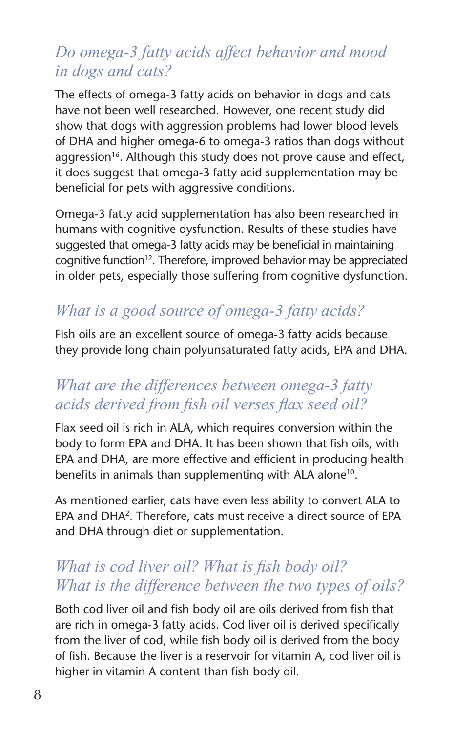#### *Do omega-3 fatty acids affect behavior and mood in dogs and cats?*

The effects of omega-3 fatty acids on behavior in dogs and cats have not been well researched. However, one recent study did show that dogs with aggression problems had lower blood levels of DHA and higher omega-6 to omega-3 ratios than dogs without aggression<sup>16</sup>. Although this study does not prove cause and effect, it does suggest that omega-3 fatty acid supplementation may be beneficial for pets with aggressive conditions.

Omega-3 fatty acid supplementation has also been researched in humans with cognitive dysfunction. Results of these studies have suggested that omega-3 fatty acids may be beneficial in maintaining cognitive function<sup>12</sup>. Therefore, improved behavior may be appreciated in older pets, especially those suffering from cognitive dysfunction.

#### *What is a good source of omega-3 fatty acids?*

Fish oils are an excellent source of omega-3 fatty acids because they provide long chain polyunsaturated fatty acids, EPA and DHA.

#### *What are the differences between omega-3 fatty acids derived from fish oil verses flax seed oil?*

Flax seed oil is rich in ALA, which requires conversion within the body to form EPA and DHA. It has been shown that fish oils, with EPA and DHA, are more effective and efficient in producing health benefits in animals than supplementing with ALA alone<sup>10</sup>.

As mentioned earlier, cats have even less ability to convert ALA to EPA and DHA2. Therefore, cats must receive a direct source of EPA and DHA through diet or supplementation.

#### *What is cod liver oil? What is fish body oil? What is the difference between the two types of oils?*

Both cod liver oil and fish body oil are oils derived from fish that are rich in omega-3 fatty acids. Cod liver oil is derived specifically from the liver of cod, while fish body oil is derived from the body of fish. Because the liver is a reservoir for vitamin A, cod liver oil is higher in vitamin A content than fish body oil.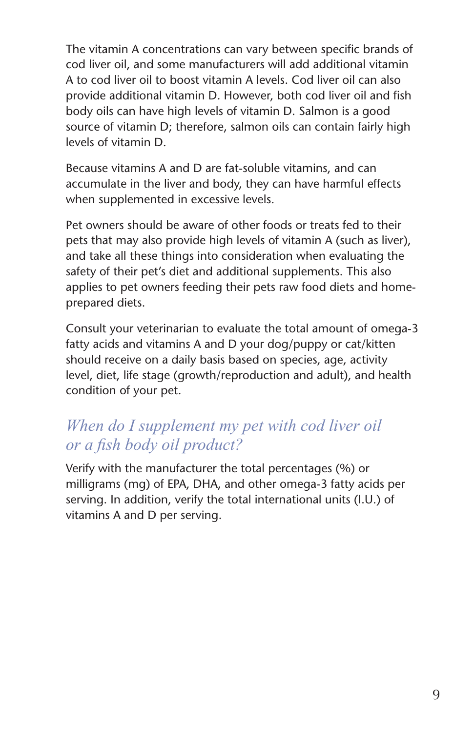The vitamin A concentrations can vary between specific brands of cod liver oil, and some manufacturers will add additional vitamin A to cod liver oil to boost vitamin A levels. Cod liver oil can also provide additional vitamin D. However, both cod liver oil and fish body oils can have high levels of vitamin D. Salmon is a good source of vitamin D; therefore, salmon oils can contain fairly high levels of vitamin D.

Because vitamins A and D are fat-soluble vitamins, and can accumulate in the liver and body, they can have harmful effects when supplemented in excessive levels.

Pet owners should be aware of other foods or treats fed to their pets that may also provide high levels of vitamin A (such as liver), and take all these things into consideration when evaluating the safety of their pet's diet and additional supplements. This also applies to pet owners feeding their pets raw food diets and homeprepared diets.

Consult your veterinarian to evaluate the total amount of omega-3 fatty acids and vitamins A and D your dog/puppy or cat/kitten should receive on a daily basis based on species, age, activity level, diet, life stage (growth/reproduction and adult), and health condition of your pet.

### *When do I supplement my pet with cod liver oil or a fish body oil product?*

Verify with the manufacturer the total percentages (%) or milligrams (mg) of EPA, DHA, and other omega-3 fatty acids per serving. In addition, verify the total international units (I.U.) of vitamins A and D per serving.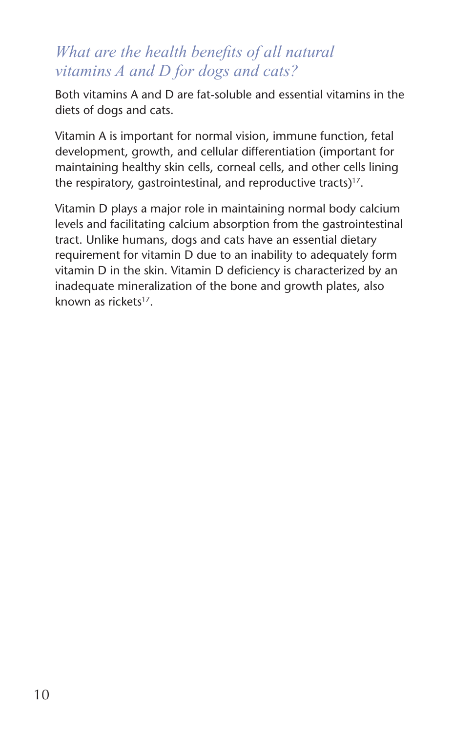### *What are the health benefits of all natural vitamins A and D for dogs and cats?*

Both vitamins A and D are fat-soluble and essential vitamins in the diets of dogs and cats.

Vitamin A is important for normal vision, immune function, fetal development, growth, and cellular differentiation (important for maintaining healthy skin cells, corneal cells, and other cells lining the respiratory, gastrointestinal, and reproductive tracts) $17$ .

Vitamin D plays a major role in maintaining normal body calcium levels and facilitating calcium absorption from the gastrointestinal tract. Unlike humans, dogs and cats have an essential dietary requirement for vitamin D due to an inability to adequately form vitamin D in the skin. Vitamin D deficiency is characterized by an inadequate mineralization of the bone and growth plates, also known as rickets<sup>17</sup>.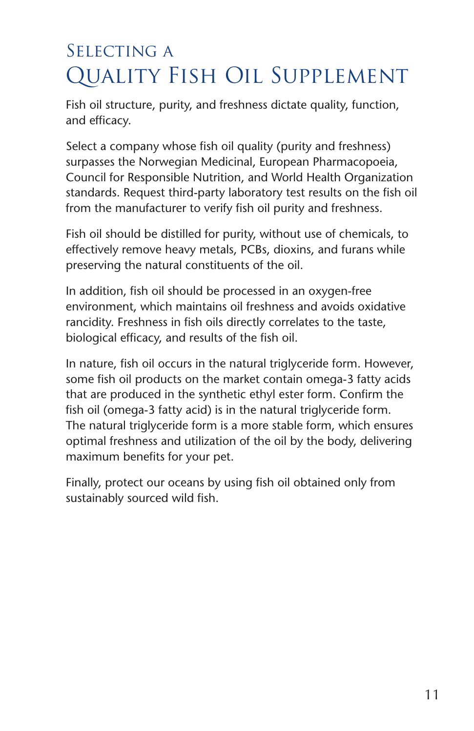# SELECTING A Quality Fish Oil Supplement

Fish oil structure, purity, and freshness dictate quality, function, and efficacy.

Select a company whose fish oil quality (purity and freshness) surpasses the Norwegian Medicinal, European Pharmacopoeia, Council for Responsible Nutrition, and World Health Organization standards. Request third-party laboratory test results on the fish oil from the manufacturer to verify fish oil purity and freshness.

Fish oil should be distilled for purity, without use of chemicals, to effectively remove heavy metals, PCBs, dioxins, and furans while preserving the natural constituents of the oil.

In addition, fish oil should be processed in an oxygen-free environment, which maintains oil freshness and avoids oxidative rancidity. Freshness in fish oils directly correlates to the taste, biological efficacy, and results of the fish oil.

In nature, fish oil occurs in the natural triglyceride form. However, some fish oil products on the market contain omega-3 fatty acids that are produced in the synthetic ethyl ester form. Confirm the fish oil (omega-3 fatty acid) is in the natural triglyceride form. The natural triglyceride form is a more stable form, which ensures optimal freshness and utilization of the oil by the body, delivering maximum benefits for your pet.

Finally, protect our oceans by using fish oil obtained only from sustainably sourced wild fish.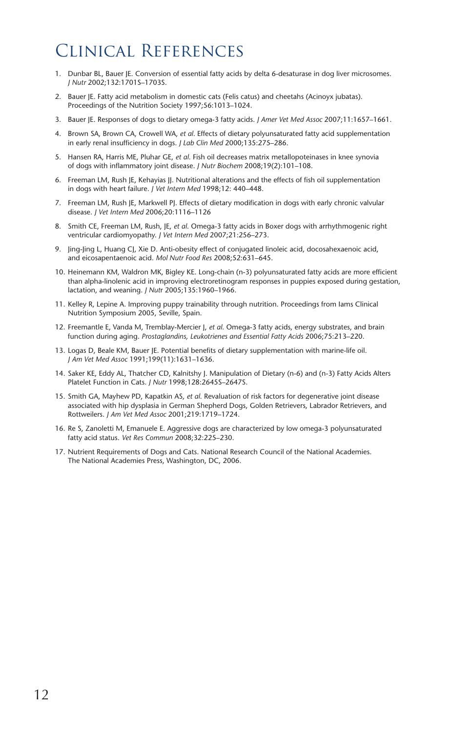# Clinical References

- 1. Dunbar BL, Bauer JE. Conversion of essential fatty acids by delta 6-desaturase in dog liver microsomes. *J Nutr* 2002;132:1701S–1703S.
- 2. Bauer JE. Fatty acid metabolism in domestic cats (Felis catus) and cheetahs (Acinoyx jubatas). Proceedings of the Nutrition Society 1997;56:1013–1024.
- 3. Bauer JE. Responses of dogs to dietary omega-3 fatty acids. *J Amer Vet Med Assoc* 2007;11:1657–1661.
- 4. Brown SA, Brown CA, Crowell WA, *et al*. Effects of dietary polyunsaturated fatty acid supplementation in early renal insufficiency in dogs. *J Lab Clin Med* 2000;135:275–286.
- 5. Hansen RA, Harris ME, Pluhar GE, *et al*. Fish oil decreases matrix metallopoteinases in knee synovia of dogs with inflammatory joint disease. *J Nutr Biochem* 2008;19(2):101–108.
- 6. Freeman LM, Rush JE, Kehayias JJ. Nutritional alterations and the effects of fish oil supplementation in dogs with heart failure. *J Vet Intern Med* 1998;12: 440–448.
- 7. Freeman LM, Rush JE, Markwell PJ. Effects of dietary modification in dogs with early chronic valvular disease. *J Vet Intern Med* 2006;20:1116–1126
- 8. Smith CE, Freeman LM, Rush, JE, *et al*. Omega-3 fatty acids in Boxer dogs with arrhythmogenic right ventricular cardiomyopathy. *J Vet Intern Med* 2007;21:256–273.
- 9. Jing-Jing L, Huang CJ, Xie D. Anti-obesity effect of conjugated linoleic acid, docosahexaenoic acid, and eicosapentaenoic acid. *Mol Nutr Food Res* 2008;52:631–645.
- 10. Heinemann KM, Waldron MK, Bigley KE. Long-chain (n-3) polyunsaturated fatty acids are more efficient than alpha-linolenic acid in improving electroretinogram responses in puppies exposed during gestation, lactation, and weaning. *J Nut*r 2005;135:1960–1966.
- 11. Kelley R, Lepine A. Improving puppy trainability through nutrition. Proceedings from Iams Clinical Nutrition Symposium 2005, Seville, Spain.
- 12. Freemantle E, Vanda M, Tremblay-Mercier J, *et al*. Omega-3 fatty acids, energy substrates, and brain function during aging. *Prostaglandins, Leukotrienes and Essential Fatty Acids* 2006;75:213–220.
- 13. Logas D, Beale KM, Bauer JE. Potential benefits of dietary supplementation with marine-life oil. *J Am Vet Med Assoc* 1991;199(11):1631–1636.
- 14. Saker KE, Eddy AL, Thatcher CD, Kalnitshy J. Manipulation of Dietary (n-6) and (n-3) Fatty Acids Alters Platelet Function in Cats. *J Nutr* 1998;128:2645S–2647S.
- 15. Smith GA, Mayhew PD, Kapatkin AS, *et al*. Revaluation of risk factors for degenerative joint disease associated with hip dysplasia in German Shepherd Dogs, Golden Retrievers, Labrador Retrievers, and Rottweilers. *J Am Vet Med Assoc* 2001;219:1719–1724.
- 16. Re S, Zanoletti M, Emanuele E. Aggressive dogs are characterized by low omega-3 polyunsaturated fatty acid status. *Vet Res Commun* 2008;32:225–230.
- 17. Nutrient Requirements of Dogs and Cats. National Research Council of the National Academies. The National Academies Press, Washington, DC, 2006.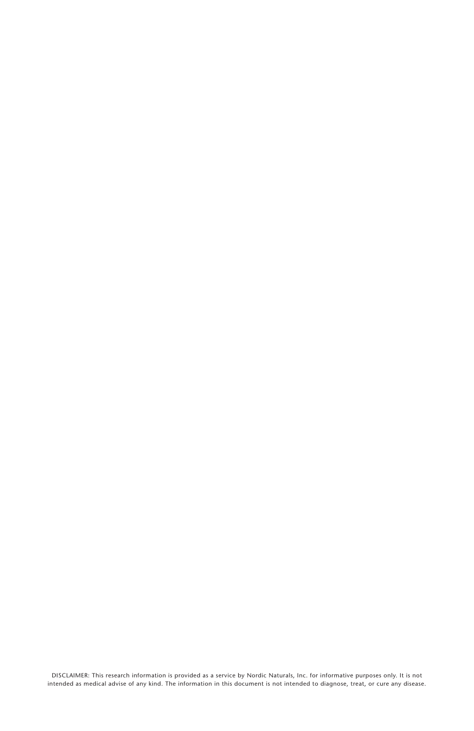DISCLAIMER: This research information is provided as a service by Nordic Naturals, Inc. for informative purposes only. It is not<br>intended as medical advise of any kind. The information in this document is not intended to d